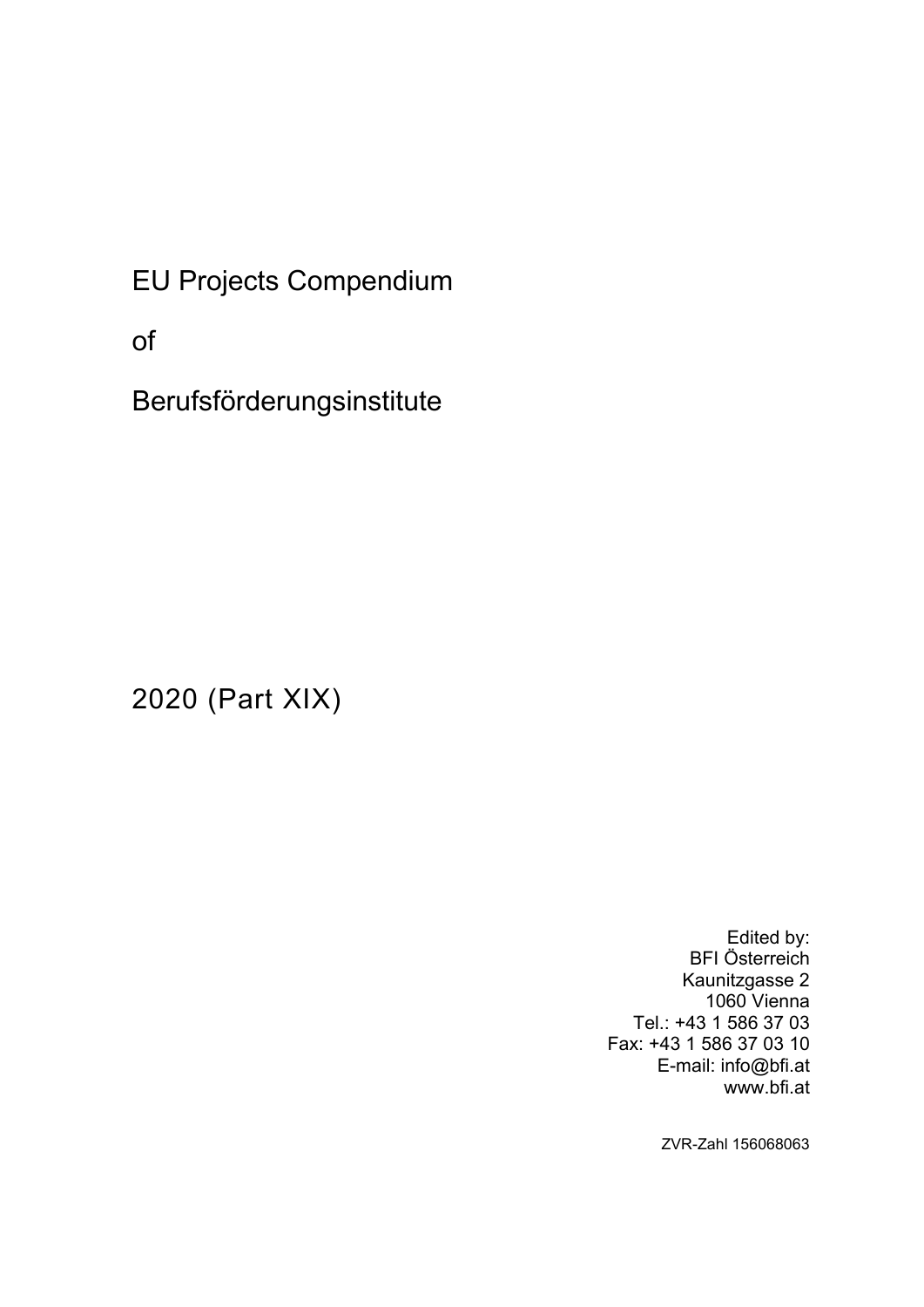EU Projects Compendium

of

Berufsförderungsinstitute

2020 (Part XIX)

Edited by: BFI Österreich Kaunitzgasse 2 1060 Vienna Tel.: +43 1 586 37 03 Fax: +43 1 586 37 03 10 E-mail: info@bfi.at www.bfi.at

ZVR-Zahl 156068063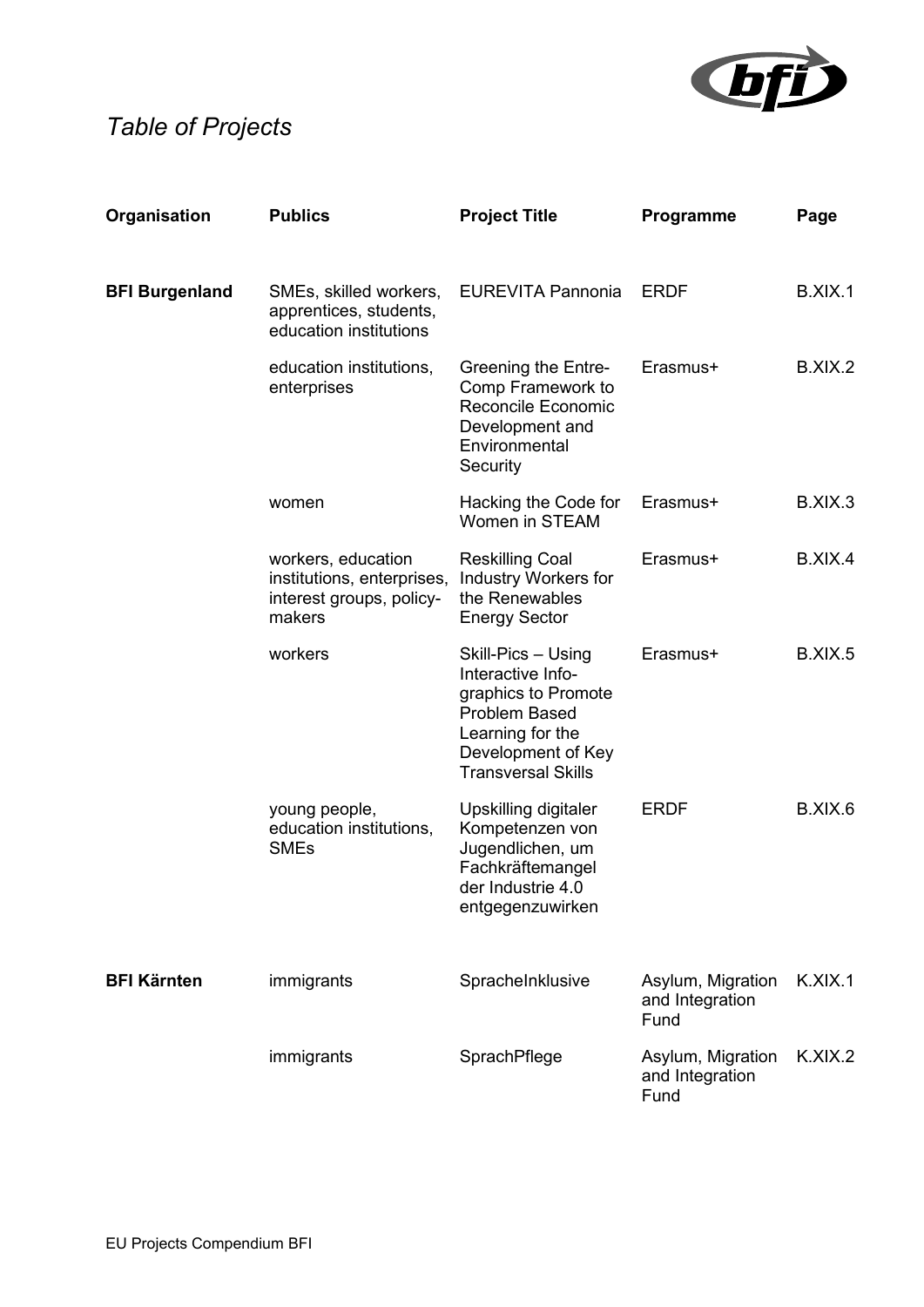

# *Table of Projects*

| Organisation          | <b>Publics</b>                                                                         | <b>Project Title</b>                                                                                                                                          | Programme                                    | Page    |
|-----------------------|----------------------------------------------------------------------------------------|---------------------------------------------------------------------------------------------------------------------------------------------------------------|----------------------------------------------|---------|
| <b>BFI Burgenland</b> | SMEs, skilled workers,<br>apprentices, students,<br>education institutions             | <b>EUREVITA Pannonia</b>                                                                                                                                      | <b>ERDF</b>                                  | B.XIX.1 |
|                       | education institutions,<br>enterprises                                                 | Greening the Entre-<br>Comp Framework to<br>Reconcile Economic<br>Development and<br>Environmental<br>Security                                                | Erasmus+                                     | B.XIX.2 |
|                       | women                                                                                  | Hacking the Code for<br>Women in STEAM                                                                                                                        | Erasmus+                                     | B.XIX.3 |
|                       | workers, education<br>institutions, enterprises,<br>interest groups, policy-<br>makers | <b>Reskilling Coal</b><br><b>Industry Workers for</b><br>the Renewables<br><b>Energy Sector</b>                                                               | Erasmus+                                     | B.XIX.4 |
|                       | workers                                                                                | Skill-Pics - Using<br>Interactive Info-<br>graphics to Promote<br><b>Problem Based</b><br>Learning for the<br>Development of Key<br><b>Transversal Skills</b> | Erasmus+                                     | B.XIX.5 |
|                       | young people,<br>education institutions,<br><b>SMEs</b>                                | Upskilling digitaler<br>Kompetenzen von<br>Jugendlichen, um<br>Fachkräftemangel<br>der Industrie 4.0<br>entgegenzuwirken                                      | <b>ERDF</b>                                  | B.XIX.6 |
| <b>BFI Kärnten</b>    | immigrants                                                                             | SpracheInklusive                                                                                                                                              | Asylum, Migration<br>and Integration<br>Fund | K.XIX.1 |
|                       | immigrants                                                                             | SprachPflege                                                                                                                                                  | Asylum, Migration<br>and Integration<br>Fund | K.XIX.2 |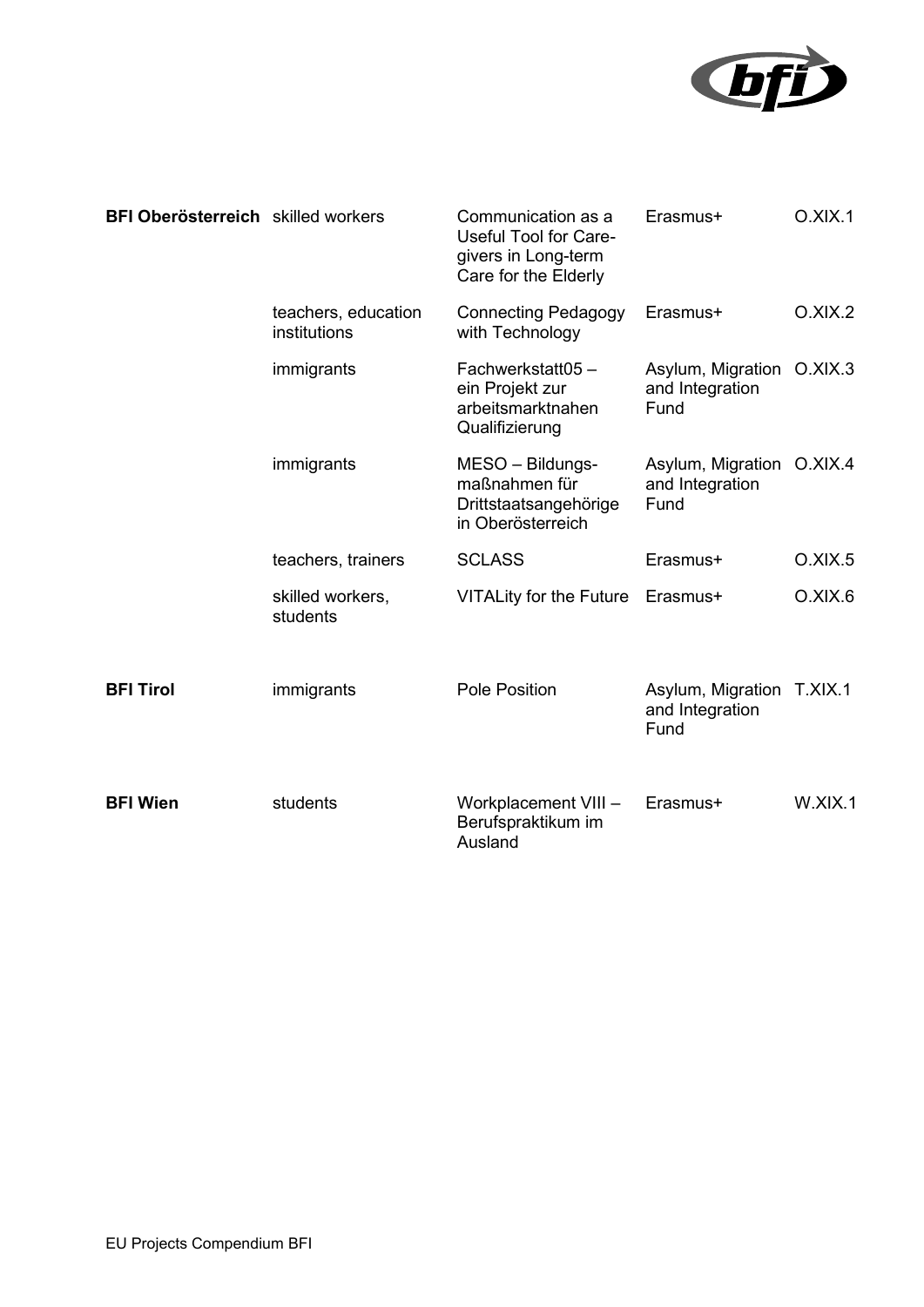

| BFI Oberösterreich skilled workers |                                     | Communication as a<br><b>Useful Tool for Care-</b><br>givers in Long-term<br>Care for the Elderly | Erasmus+                                             | O.XIX.1 |
|------------------------------------|-------------------------------------|---------------------------------------------------------------------------------------------------|------------------------------------------------------|---------|
|                                    | teachers, education<br>institutions | <b>Connecting Pedagogy</b><br>with Technology                                                     | Erasmus+                                             | O.XIX.2 |
|                                    | immigrants                          | Fachwerkstatt05-<br>ein Projekt zur<br>arbeitsmarktnahen<br>Qualifizierung                        | Asylum, Migration O.XIX.3<br>and Integration<br>Fund |         |
|                                    | immigrants                          | MESO - Bildungs-<br>maßnahmen für<br>Drittstaatsangehörige<br>in Oberösterreich                   | Asylum, Migration O.XIX.4<br>and Integration<br>Fund |         |
|                                    | teachers, trainers                  | <b>SCLASS</b>                                                                                     | Erasmus+                                             | O.XIX.5 |
|                                    | skilled workers,<br>students        | <b>VITALity for the Future</b>                                                                    | Erasmus+                                             | O.XIX.6 |
| <b>BFI Tirol</b>                   | immigrants                          | Pole Position                                                                                     | Asylum, Migration T.XIX.1<br>and Integration<br>Fund |         |
| <b>BFI Wien</b>                    | students                            | Workplacement VIII -<br>Berufspraktikum im<br>Ausland                                             | Erasmus+                                             | W.XIX.1 |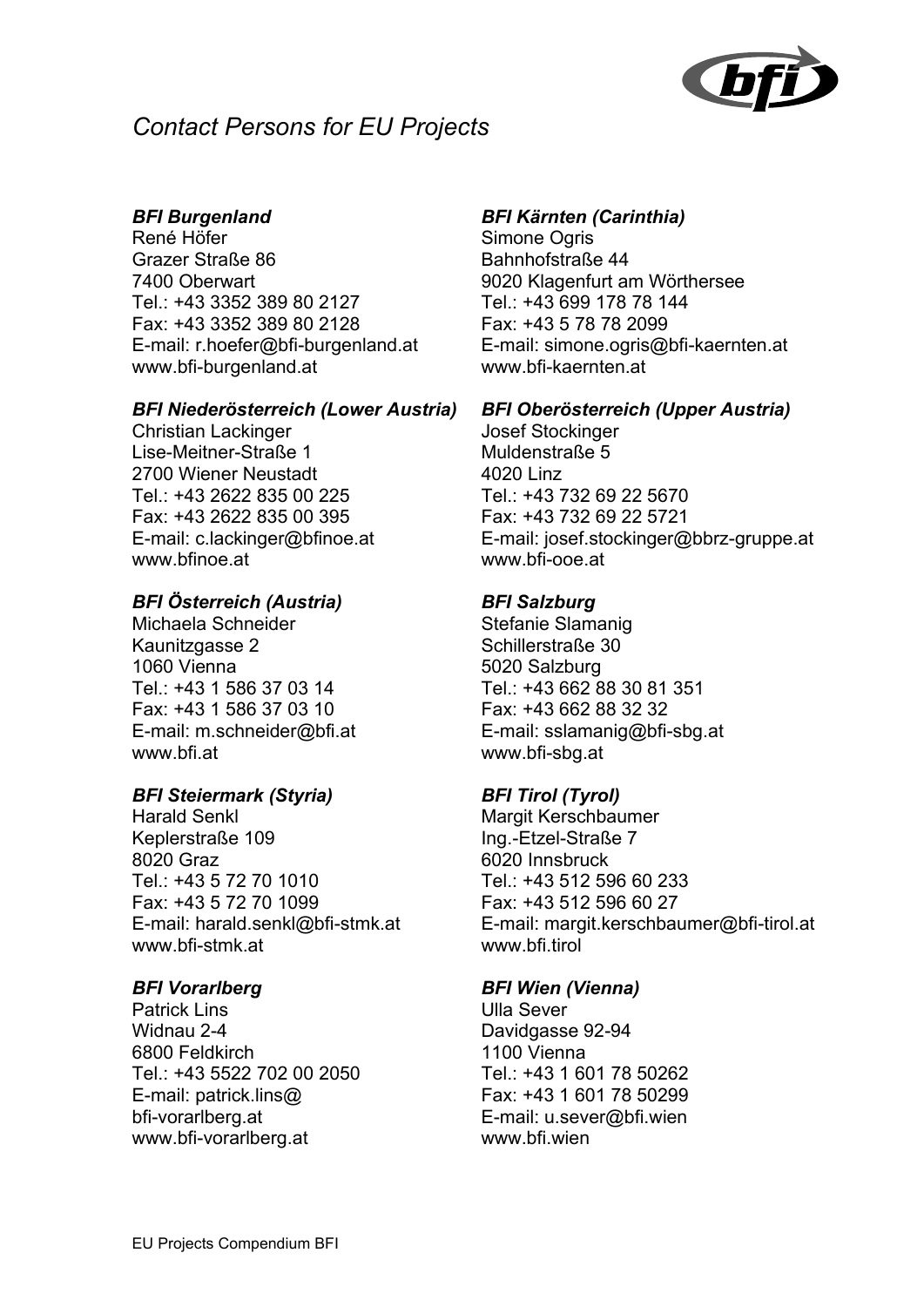

## *Contact Persons for EU Projects*

#### *BFI Burgenland*

René Höfer Grazer Straße 86 7400 Oberwart Tel.: +43 3352 389 80 2127 Fax: +43 3352 389 80 2128 E-mail: r.hoefer@bfi-burgenland.at www.bfi-burgenland.at

#### *BFI Niederösterreich (Lower Austria)*

Christian Lackinger Lise-Meitner-Straße 1 2700 Wiener Neustadt Tel.: +43 2622 835 00 225 Fax: +43 2622 835 00 395 E-mail: c.lackinger@bfinoe.at www.bfinoe.at

#### *BFI Österreich (Austria)*

Michaela Schneider Kaunitzgasse 2 1060 Vienna Tel.: +43 1 586 37 03 14 Fax: +43 1 586 37 03 10 E-mail: m.schneider@bfi.at www.bfi.at

#### *BFI Steiermark (Styria)*

Harald Senkl Keplerstraße 109 8020 Graz Tel.: +43 5 72 70 1010 Fax: +43 5 72 70 1099 E-mail: harald.senkl@bfi-stmk.at www.bfi-stmk.at

#### *BFI Vorarlberg*

Patrick Lins Widnau 2-4 6800 Feldkirch Tel.: +43 5522 702 00 2050 E-mail: patrick.lins@ bfi-vorarlberg.at www.bfi-vorarlberg.at

#### *BFI Kärnten (Carinthia)*

Simone Ogris Bahnhofstraße 44 9020 Klagenfurt am Wörthersee Tel.: +43 699 178 78 144 Fax: +43 5 78 78 2099 E-mail: simone.ogris@bfi-kaernten.at www.bfi-kaernten.at

#### *BFI Oberösterreich (Upper Austria)*

Josef Stockinger Muldenstraße 5 4020 Linz Tel.: +43 732 69 22 5670 Fax: +43 732 69 22 5721 E-mail: josef.stockinger@bbrz-gruppe.at www.bfi-ooe.at

#### *BFI Salzburg*

Stefanie Slamanig Schillerstraße 30 5020 Salzburg Tel.: +43 662 88 30 81 351 Fax: +43 662 88 32 32 E-mail: sslamanig@bfi-sbg.at www.bfi-sbg.at

#### *BFI Tirol (Tyrol)*

Margit Kerschbaumer Ing.-Etzel-Straße 7 6020 Innsbruck Tel.: +43 512 596 60 233 Fax: +43 512 596 60 27 E-mail: margit.kerschbaumer@bfi-tirol.at www.bfi.tirol

#### *BFI Wien (Vienna)*

Ulla Sever Davidgasse 92-94 1100 Vienna Tel.: +43 1 601 78 50262 Fax: +43 1 601 78 50299 E-mail: u.sever@bfi.wien www.bfi.wien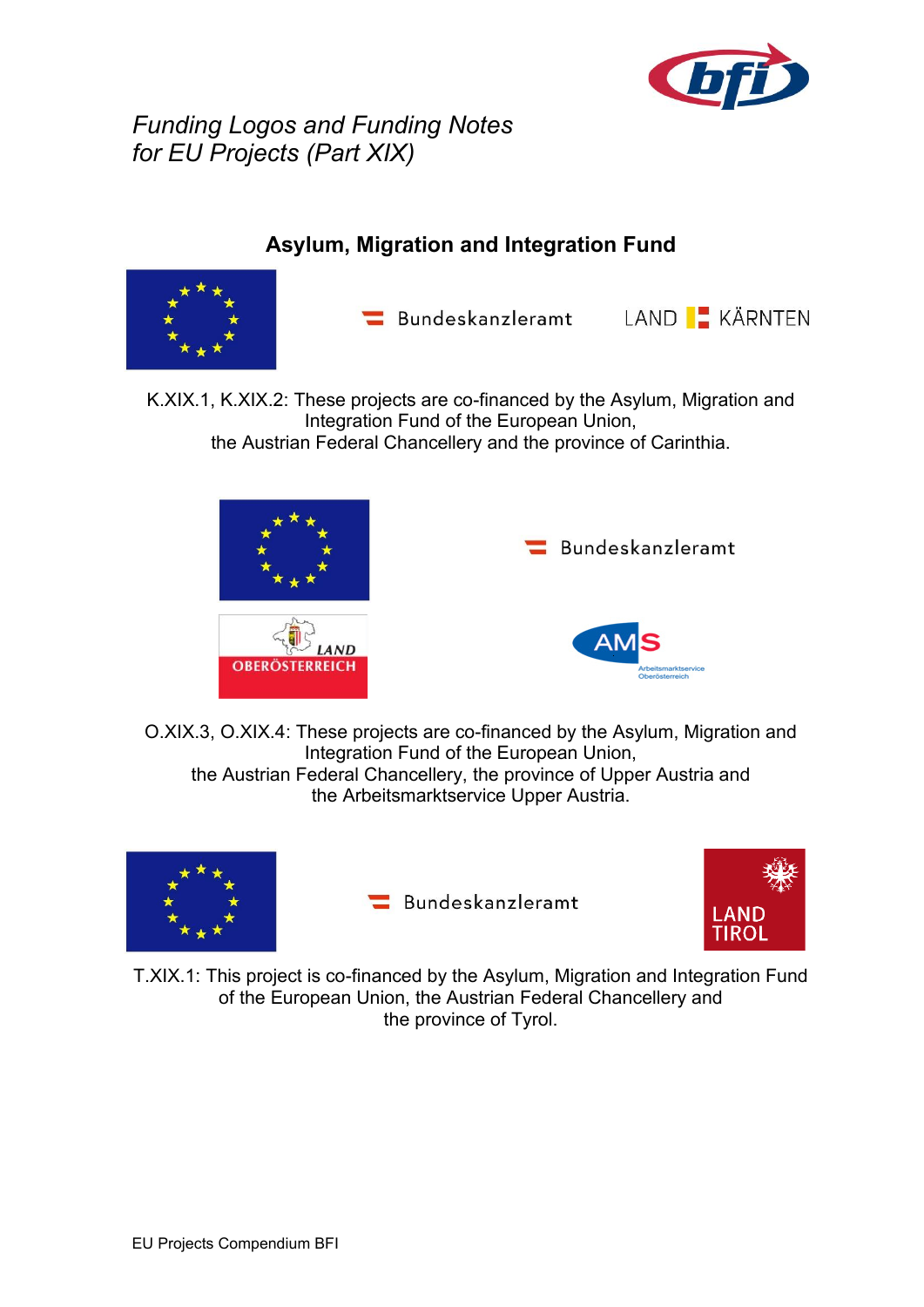

*Funding Logos and Funding Notes for EU Projects (Part XIX)*

## **Asylum, Migration and Integration Fund**



 $\blacksquare$  Bundeskanzleramt



K.XIX.1, K.XIX.2: These projects are co-financed by the Asylum, Migration and Integration Fund of the European Union, the Austrian Federal Chancellery and the province of Carinthia.





O.XIX.3, O.XIX.4: These projects are co-financed by the Asylum, Migration and Integration Fund of the European Union, the Austrian Federal Chancellery, the province of Upper Austria and the Arbeitsmarktservice Upper Austria.



Bundeskanzleramt



T.XIX.1: This project is co-financed by the Asylum, Migration and Integration Fund of the European Union, the Austrian Federal Chancellery and the province of Tyrol.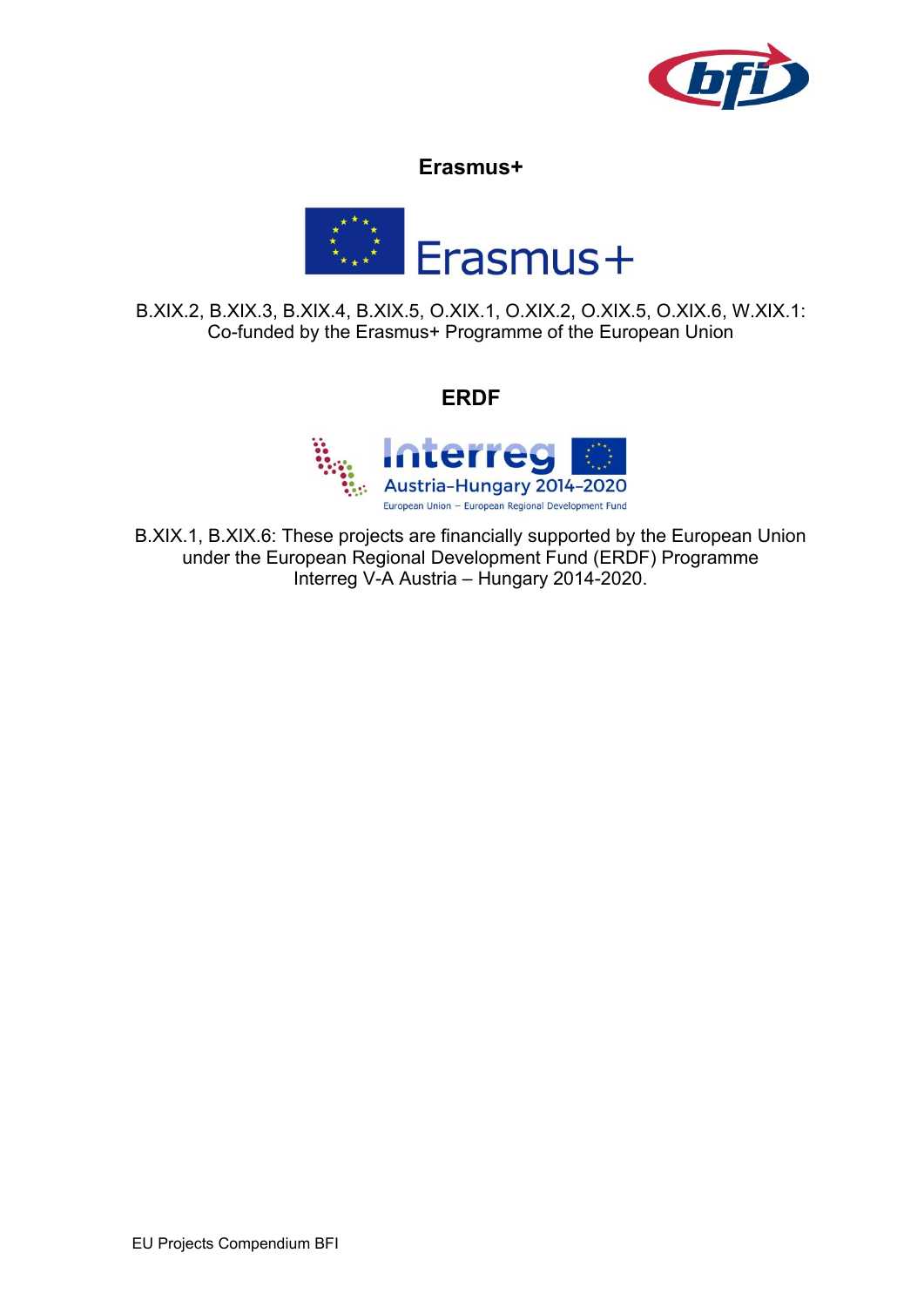

#### **Erasmus+**



B.XIX.2, B.XIX.3, B.XIX.4, B.XIX.5, O.XIX.1, O.XIX.2, O.XIX.5, O.XIX.6, W.XIX.1: Co-funded by the Erasmus+ Programme of the European Union

#### **ERDF**



B.XIX.1, B.XIX.6: These projects are financially supported by the European Union under the European Regional Development Fund (ERDF) Programme Interreg V-A Austria – Hungary 2014-2020.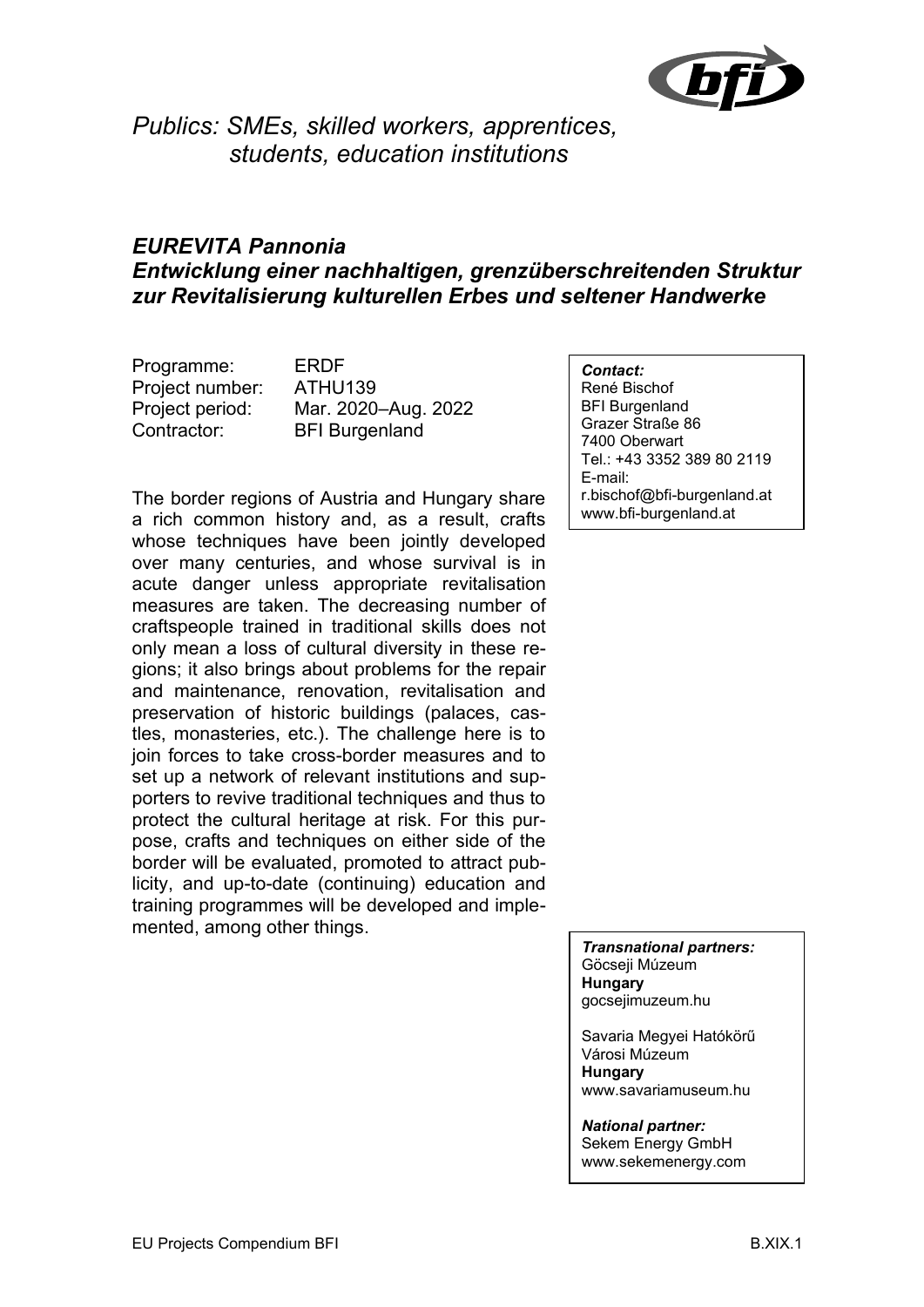

*Publics: SMEs, skilled workers, apprentices, students, education institutions*

### *EUREVITA Pannonia Entwicklung einer nachhaltigen, grenzüberschreitenden Struktur zur Revitalisierung kulturellen Erbes und seltener Handwerke*

Programme: ERDF Project number: ATHU139 Contractor: BFI Burgenland

Project period: Mar. 2020–Aug. 2022

The border regions of Austria and Hungary share a rich common history and, as a result, crafts whose techniques have been jointly developed over many centuries, and whose survival is in acute danger unless appropriate revitalisation measures are taken. The decreasing number of craftspeople trained in traditional skills does not only mean a loss of cultural diversity in these regions; it also brings about problems for the repair and maintenance, renovation, revitalisation and preservation of historic buildings (palaces, castles, monasteries, etc.). The challenge here is to join forces to take cross-border measures and to set up a network of relevant institutions and supporters to revive traditional techniques and thus to protect the cultural heritage at risk. For this purpose, crafts and techniques on either side of the border will be evaluated, promoted to attract publicity, and up-to-date (continuing) education and training programmes will be developed and implemented, among other things.

*Contact:* René Bischof BFI Burgenland Grazer Straße 86 7400 Oberwart Tel.: +43 3352 389 80 2119 E-mail: r.bischof@bfi-burgenland.at www.bfi-burgenland.at

*Transnational partners:* Göcseji Múzeum **Hungary** gocsejimuzeum.hu

Savaria Megyei Hatókörű Városi Múzeum **Hungary** www.savariamuseum.hu

*National partner:* Sekem Energy GmbH www.sekemenergy.com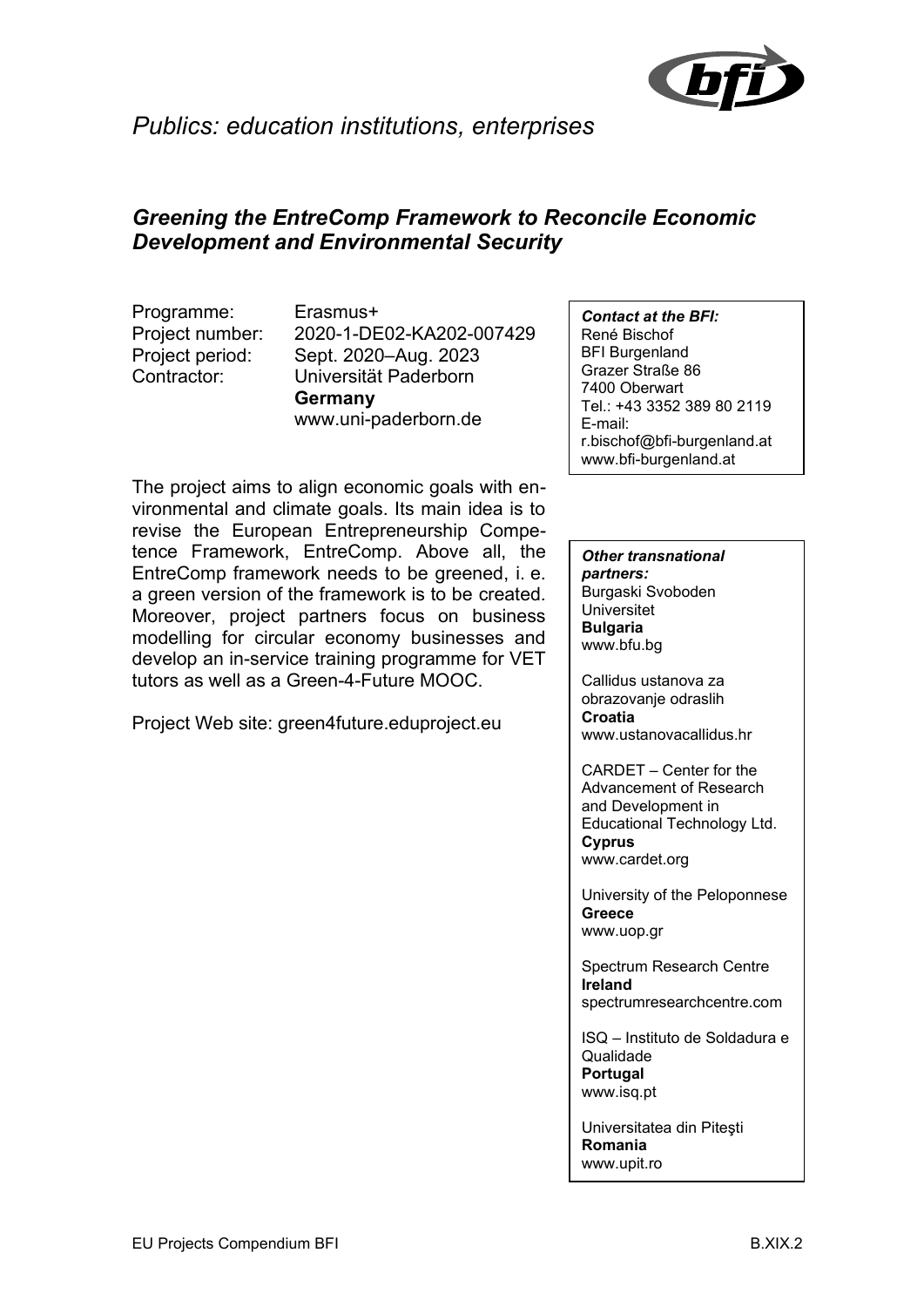

## *Publics: education institutions, enterprises*

#### *Greening the EntreComp Framework to Reconcile Economic Development and Environmental Security*

Programme: Erasmus+

Project number: 2020-1-DE02-KA202-007429 Project period: Sept. 2020–Aug. 2023 Contractor: Universität Paderborn **Germany** www.uni-paderborn.de

The project aims to align economic goals with environmental and climate goals. Its main idea is to revise the European Entrepreneurship Competence Framework, EntreComp. Above all, the EntreComp framework needs to be greened, i. e. a green version of the framework is to be created. Moreover, project partners focus on business modelling for circular economy businesses and develop an in-service training programme for VET tutors as well as a Green-4-Future MOOC.

Project Web site: green4future.eduproject.eu

*Contact at the BFI:* René Bischof BFI Burgenland Grazer Straße 86 7400 Oberwart Tel.: +43 3352 389 80 2119 E-mail: r.bischof@bfi-burgenland.at www.bfi-burgenland.at

#### *Other transnational partners:* Burgaski Svoboden Universitet **Bulgaria** www.bfu.bg

Callidus ustanova za obrazovanje odraslih **Croatia** www.ustanovacallidus.hr

CARDET – Center for the Advancement of Research and Development in Educational Technology Ltd. **Cyprus** www.cardet.org

University of the Peloponnese **Greece** www.uop.gr

Spectrum Research Centre **Ireland** spectrumresearchcentre.com

ISQ – Instituto de Soldadura e Qualidade **Portugal** www.isq.pt

Universitatea din Piteşti **Romania** www.upit.ro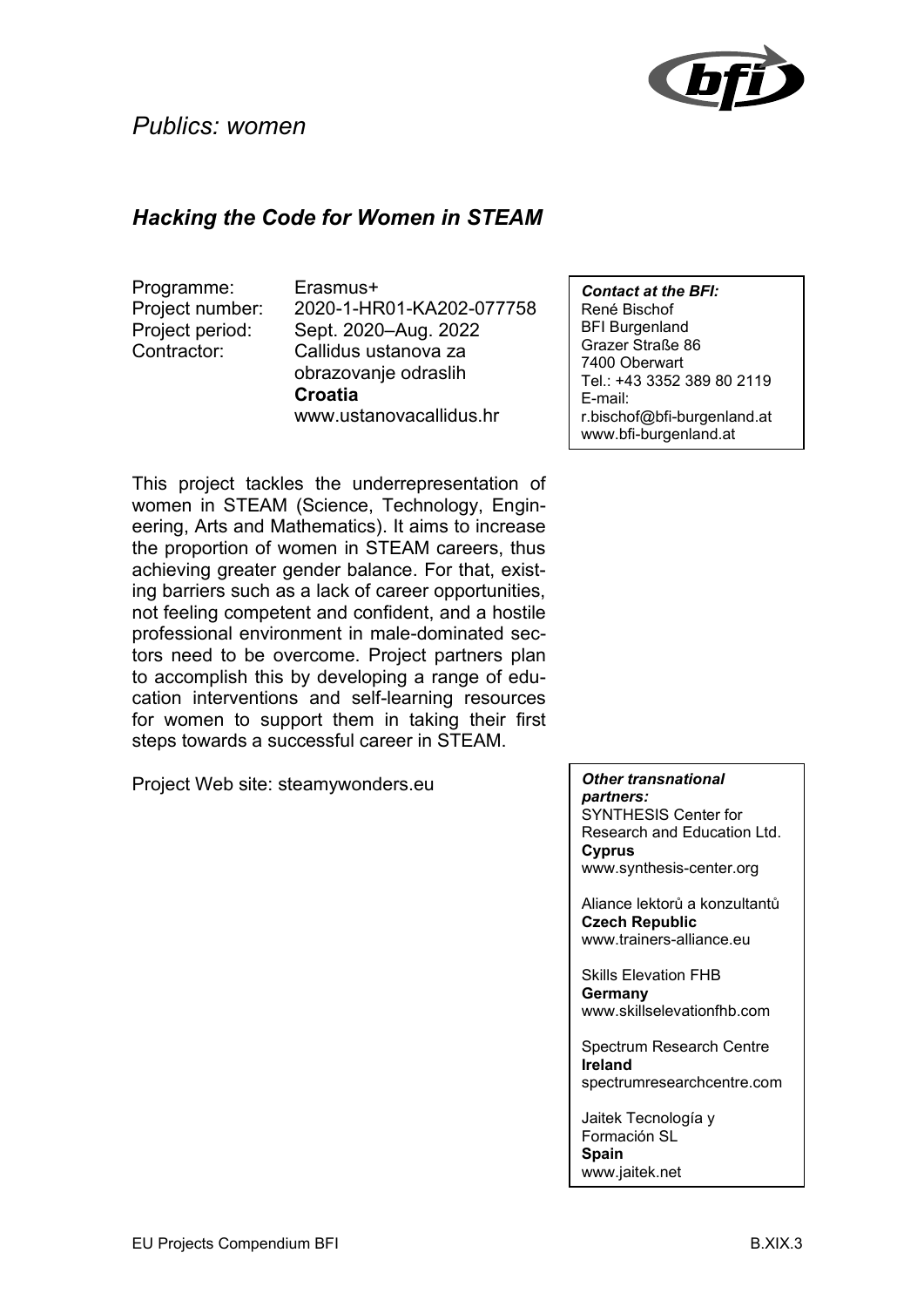

## *Hacking the Code for Women in STEAM*

Programme: Erasmus+

Project number: 2020-1-HR01-KA202-077758 Project period: Sept. 2020–Aug. 2022 Contractor: Callidus ustanova za obrazovanje odraslih **Croatia** www.ustanovacallidus.hr

This project tackles the underrepresentation of women in STEAM (Science, Technology, Engineering, Arts and Mathematics). It aims to increase the proportion of women in STEAM careers, thus achieving greater gender balance. For that, existing barriers such as a lack of career opportunities, not feeling competent and confident, and a hostile professional environment in male-dominated sectors need to be overcome. Project partners plan to accomplish this by developing a range of education interventions and self-learning resources for women to support them in taking their first steps towards a successful career in STEAM.

Project Web site: steamywonders.eu

*Contact at the BFI:* René Bischof BFI Burgenland Grazer Straße 86 7400 Oberwart Tel.: +43 3352 389 80 2119 E-mail: r.bischof@bfi-burgenland.at www.bfi-burgenland.at

#### *Other transnational partners:*

SYNTHESIS Center for Research and Education Ltd. **Cyprus** www.synthesis-center.org

Aliance lektorů a konzultantů **Czech Republic** www.trainers-alliance.eu

Skills Elevation FHB **Germany** www.skillselevationfhb.com

Spectrum Research Centre **Ireland** spectrumresearchcentre.com

Jaitek Tecnología y Formación SL **Spain** www.jaitek.net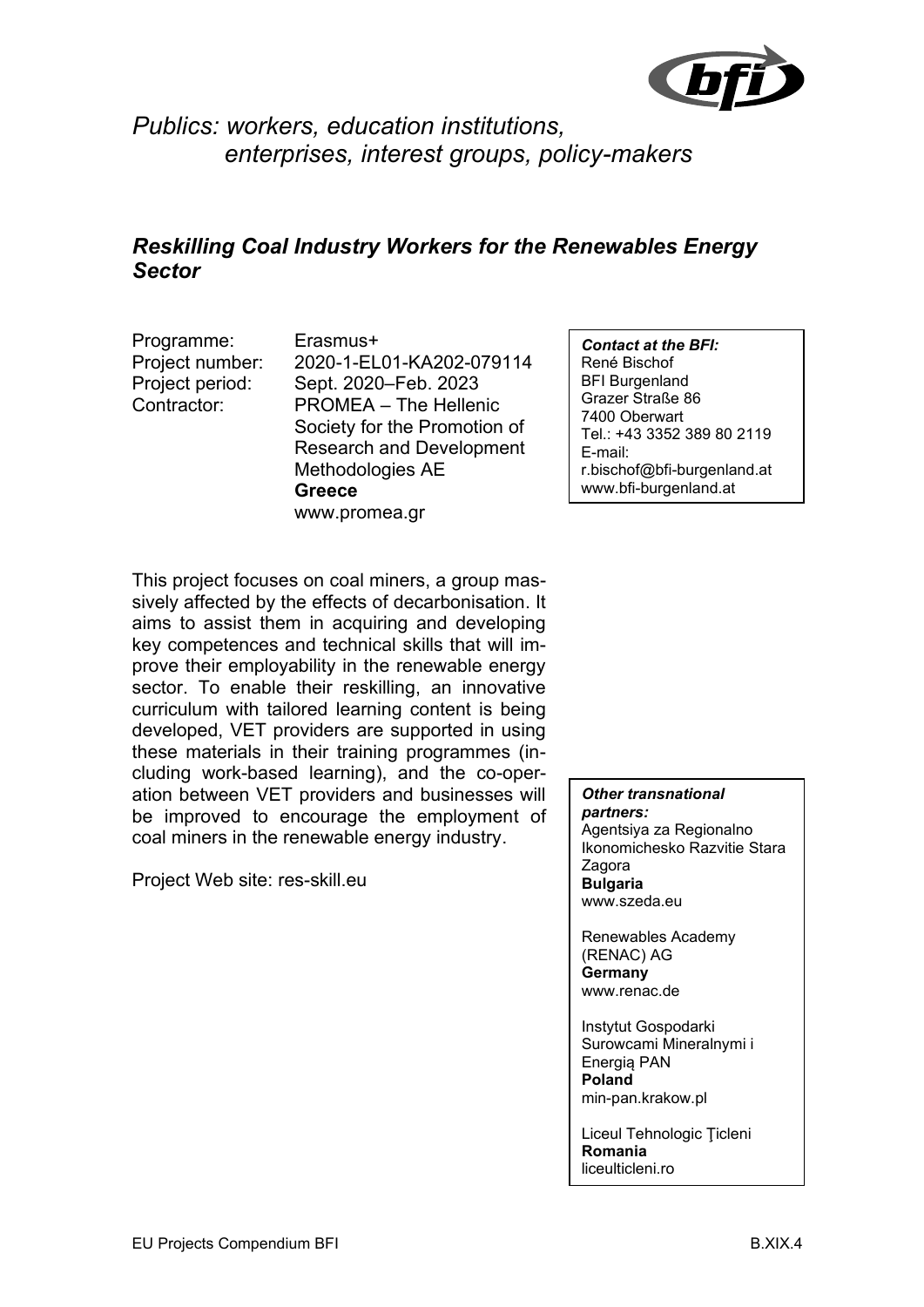

## *Publics: workers, education institutions, enterprises, interest groups, policy-makers*

#### *Reskilling Coal Industry Workers for the Renewables Energy Sector*

Programme: Erasmus+

Project number: 2020-1-EL01-KA202-079114 Project period: Sept. 2020–Feb. 2023 Contractor: PROMEA – The Hellenic Society for the Promotion of Research and Development Methodologies AE **Greece** www.promea.gr

*Contact at the BFI:* René Bischof BFI Burgenland Grazer Straße 86 7400 Oberwart Tel.: +43 3352 389 80 2119 E-mail: r.bischof@bfi-burgenland.at www.bfi-burgenland.at

This project focuses on coal miners, a group massively affected by the effects of decarbonisation. It aims to assist them in acquiring and developing key competences and technical skills that will improve their employability in the renewable energy sector. To enable their reskilling, an innovative curriculum with tailored learning content is being developed, VET providers are supported in using these materials in their training programmes (including work-based learning), and the co-operation between VET providers and businesses will be improved to encourage the employment of coal miners in the renewable energy industry.

Project Web site: res-skill.eu

*Other transnational partners:* Agentsiya za Regionalno

Ikonomichesko Razvitie Stara Zagora **Bulgaria** www.szeda.eu

Renewables Academy (RENAC) AG **Germany** www.renac.de

Instytut Gospodarki Surowcami Mineralnymi i Energią PAN **Poland** min-pan.krakow.pl

Liceul Tehnologic Ţicleni **Romania** liceulticleni.ro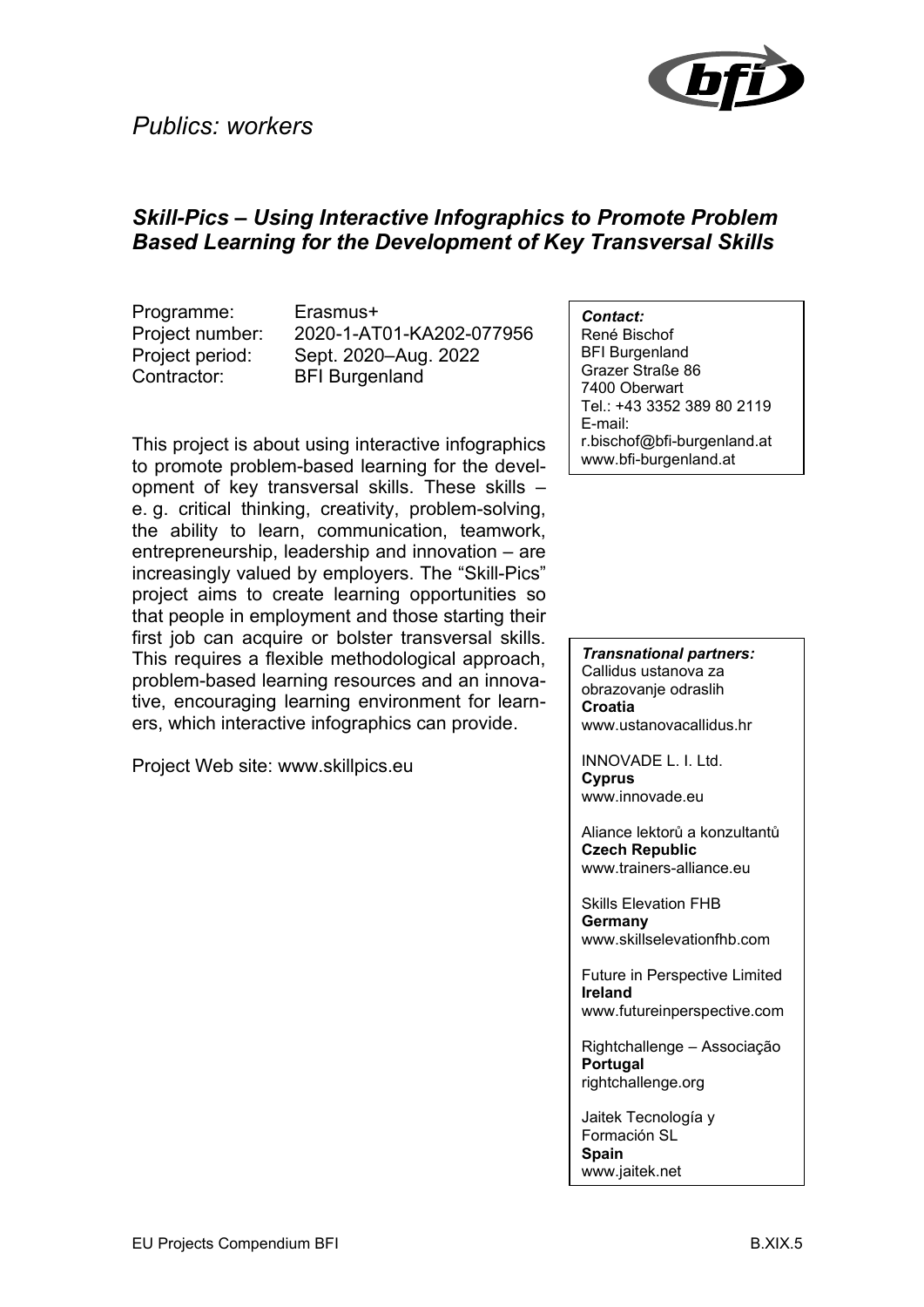## *Publics: workers*



#### *Skill-Pics – Using Interactive Infographics to Promote Problem Based Learning for the Development of Key Transversal Skills*

Programme: Erasmus+ Contractor: BFI Burgenland

Project number: 2020-1-AT01-KA202-077956 Project period: Sept. 2020–Aug. 2022

This project is about using interactive infographics to promote problem-based learning for the development of key transversal skills. These skills – e. g. critical thinking, creativity, problem-solving, the ability to learn, communication, teamwork, entrepreneurship, leadership and innovation – are increasingly valued by employers. The "Skill-Pics" project aims to create learning opportunities so that people in employment and those starting their first job can acquire or bolster transversal skills. This requires a flexible methodological approach, problem-based learning resources and an innovative, encouraging learning environment for learners, which interactive infographics can provide.

Project Web site: www.skillpics.eu

*Contact:*

René Bischof BFI Burgenland Grazer Straße 86 7400 Oberwart Tel.: +43 3352 389 80 2119 E-mail: r.bischof@bfi-burgenland.at www.bfi-burgenland.at

*Transnational partners:* Callidus ustanova za obrazovanje odraslih **Croatia** www.ustanovacallidus.hr

INNOVADE L. I. Ltd. **Cyprus** www.innovade.eu

Aliance lektorů a konzultantů **Czech Republic** www.trainers-alliance.eu

Skills Elevation FHB **Germany** www.skillselevationfhb.com

Future in Perspective Limited **Ireland** www.futureinperspective.com

Rightchallenge – Associação **Portugal** rightchallenge.org

Jaitek Tecnología y Formación SL **Spain** www.jaitek.net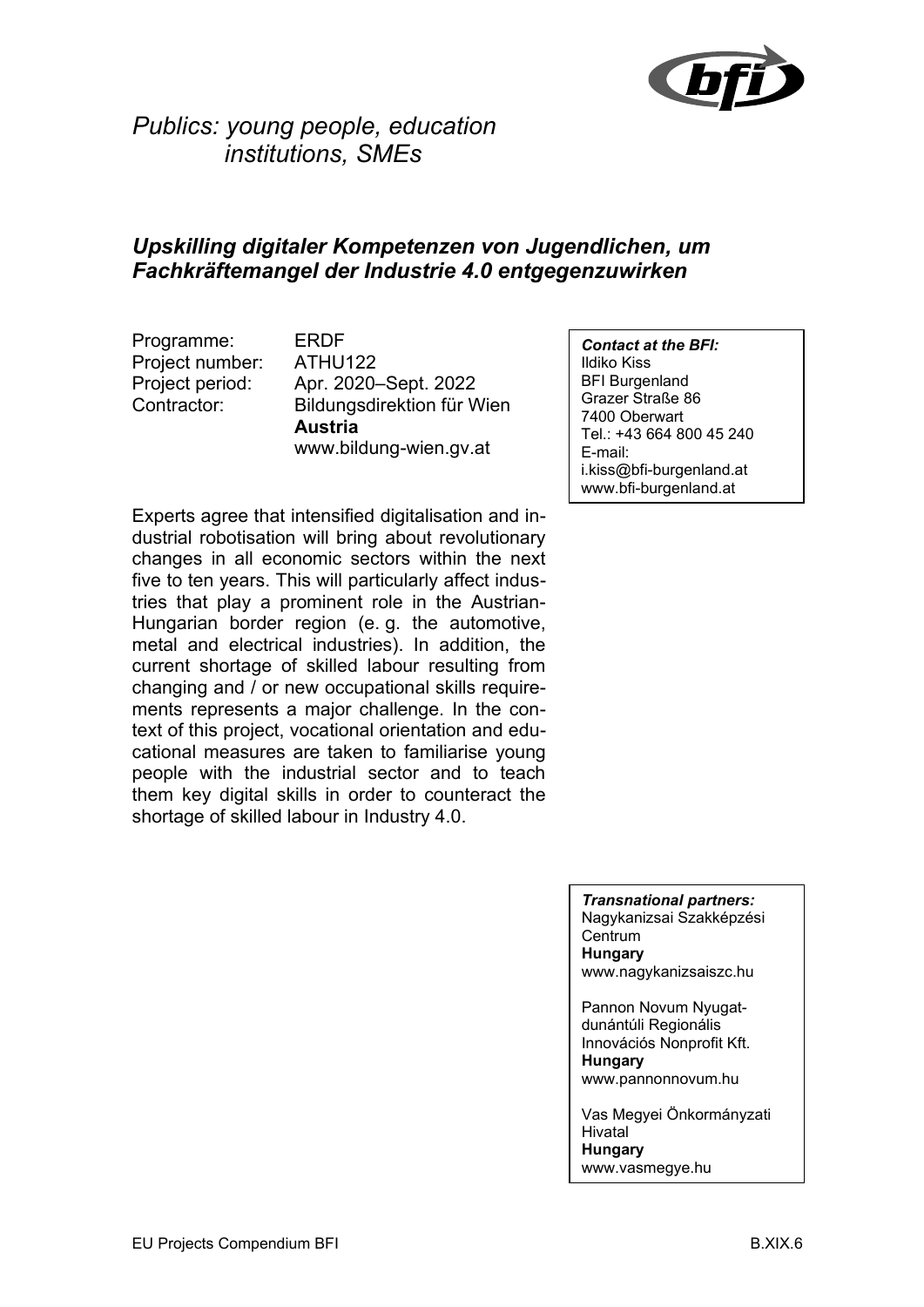

## *Publics: young people, education institutions, SMEs*

#### *Upskilling digitaler Kompetenzen von Jugendlichen, um Fachkräftemangel der Industrie 4.0 entgegenzuwirken*

Programme: ERDF Project number: ATHU122

Project period: Apr. 2020–Sept. 2022 Contractor: Bildungsdirektion für Wien **Austria** www.bildung-wien.gv.at

Experts agree that intensified digitalisation and industrial robotisation will bring about revolutionary changes in all economic sectors within the next five to ten years. This will particularly affect industries that play a prominent role in the Austrian-Hungarian border region (e. g. the automotive, metal and electrical industries). In addition, the current shortage of skilled labour resulting from changing and / or new occupational skills requirements represents a major challenge. In the context of this project, vocational orientation and educational measures are taken to familiarise young people with the industrial sector and to teach them key digital skills in order to counteract the shortage of skilled labour in Industry 4.0.

*Contact at the BFI:* Ildiko Kiss BFI Burgenland Grazer Straße 86 7400 Oberwart Tel.: +43 664 800 45 240 E-mail: i.kiss@bfi-burgenland.at www.bfi-burgenland.at

*Transnational partners:* Nagykanizsai Szakképzési **Centrum Hungary** www.nagykanizsaiszc.hu

Pannon Novum Nyugatdunántúli Regionális Innovációs Nonprofit Kft. **Hungary** www.pannonnovum.hu

Vas Megyei Önkormányzati Hivatal **Hungary** www.vasmegye.hu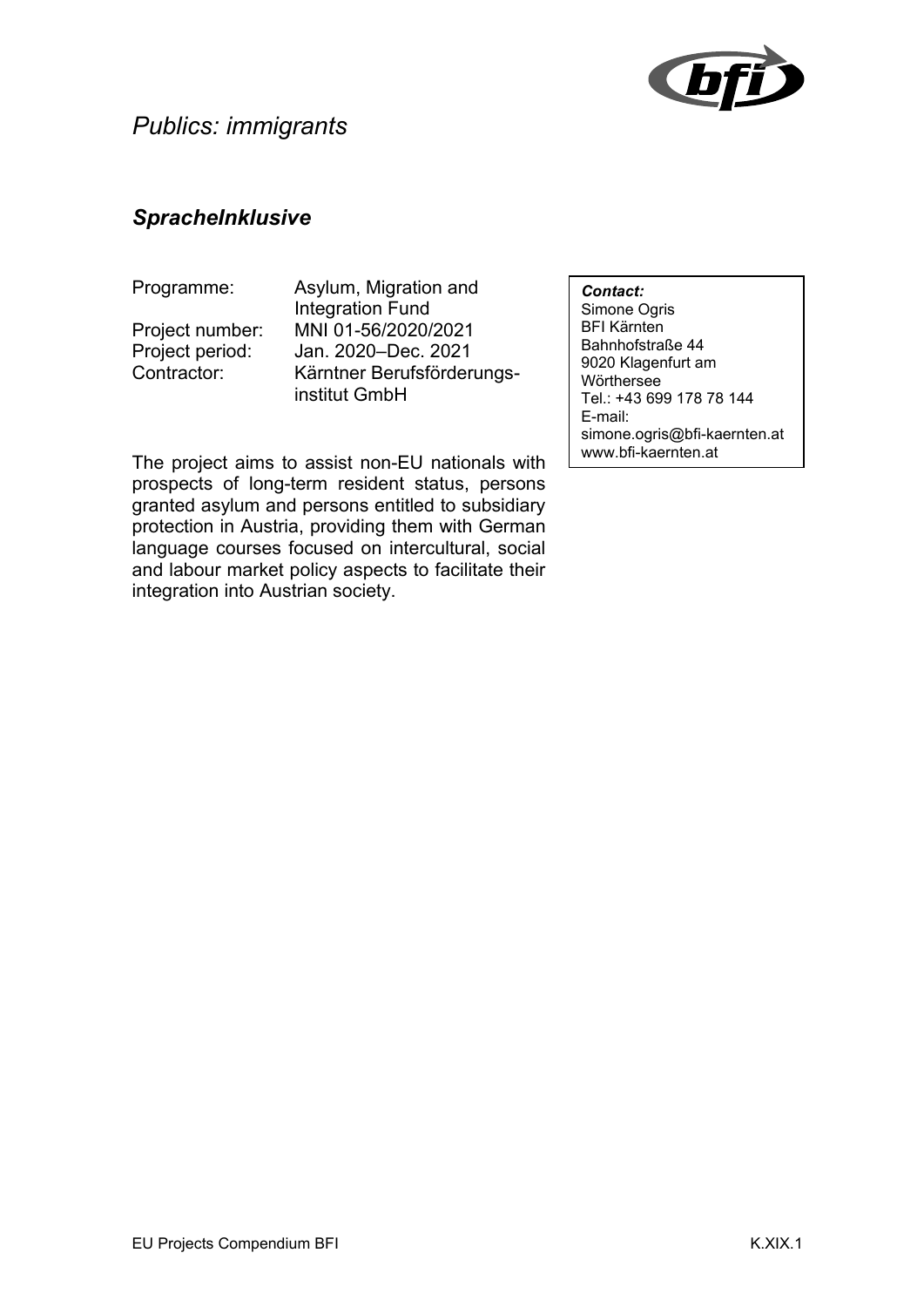

### *SpracheInklusive*

Programme: Asylum, Migration and Integration Fund Project number: MNI 01-56/2020/2021 Project period: Jan. 2020–Dec. 2021 Contractor: Kärntner Berufsförderungsinstitut GmbH

*Contact:* Simone Ogris BFI Kärnten Bahnhofstraße 44 9020 Klagenfurt am **Wörthersee** Tel.: +43 699 178 78 144 E-mail: simone.ogris@bfi-kaernten.at www.bfi-kaernten.at

The project aims to assist non-EU nationals with prospects of long-term resident status, persons granted asylum and persons entitled to subsidiary protection in Austria, providing them with German language courses focused on intercultural, social and labour market policy aspects to facilitate their integration into Austrian society.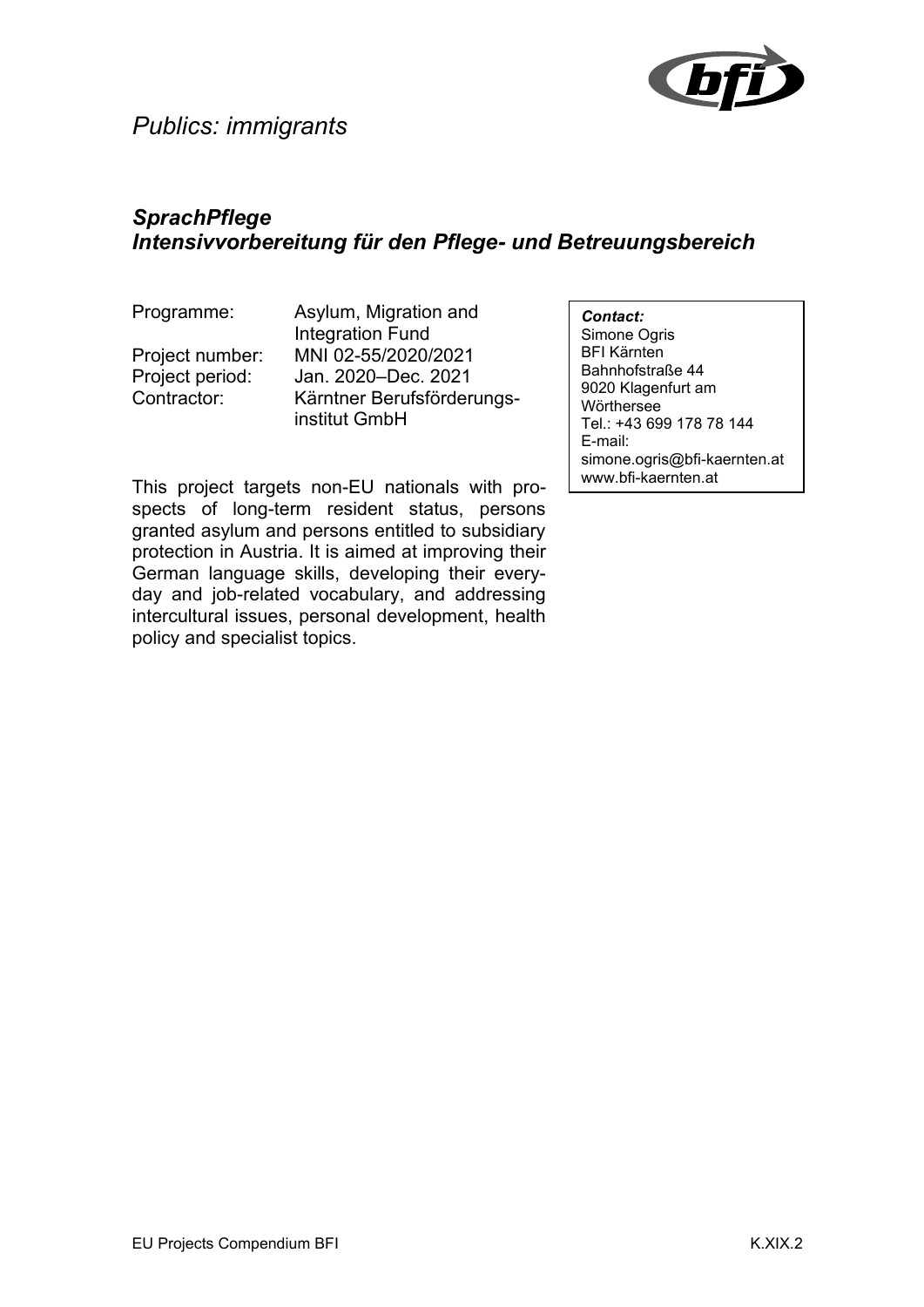

## *SprachPflege Intensivvorbereitung für den Pflege- und Betreuungsbereich*

Programme: Asylum, Migration and Integration Fund Project number: MNI 02-55/2020/2021 Project period: Jan. 2020–Dec. 2021 Contractor: Kärntner Berufsförderungsinstitut GmbH

*Contact:* Simone Ogris BFI Kärnten Bahnhofstraße 44 9020 Klagenfurt am **Wörthersee** Tel.: +43 699 178 78 144 E-mail: simone.ogris@bfi-kaernten.at www.bfi-kaernten.at

This project targets non-EU nationals with prospects of long-term resident status, persons granted asylum and persons entitled to subsidiary protection in Austria. It is aimed at improving their German language skills, developing their everyday and job-related vocabulary, and addressing intercultural issues, personal development, health policy and specialist topics.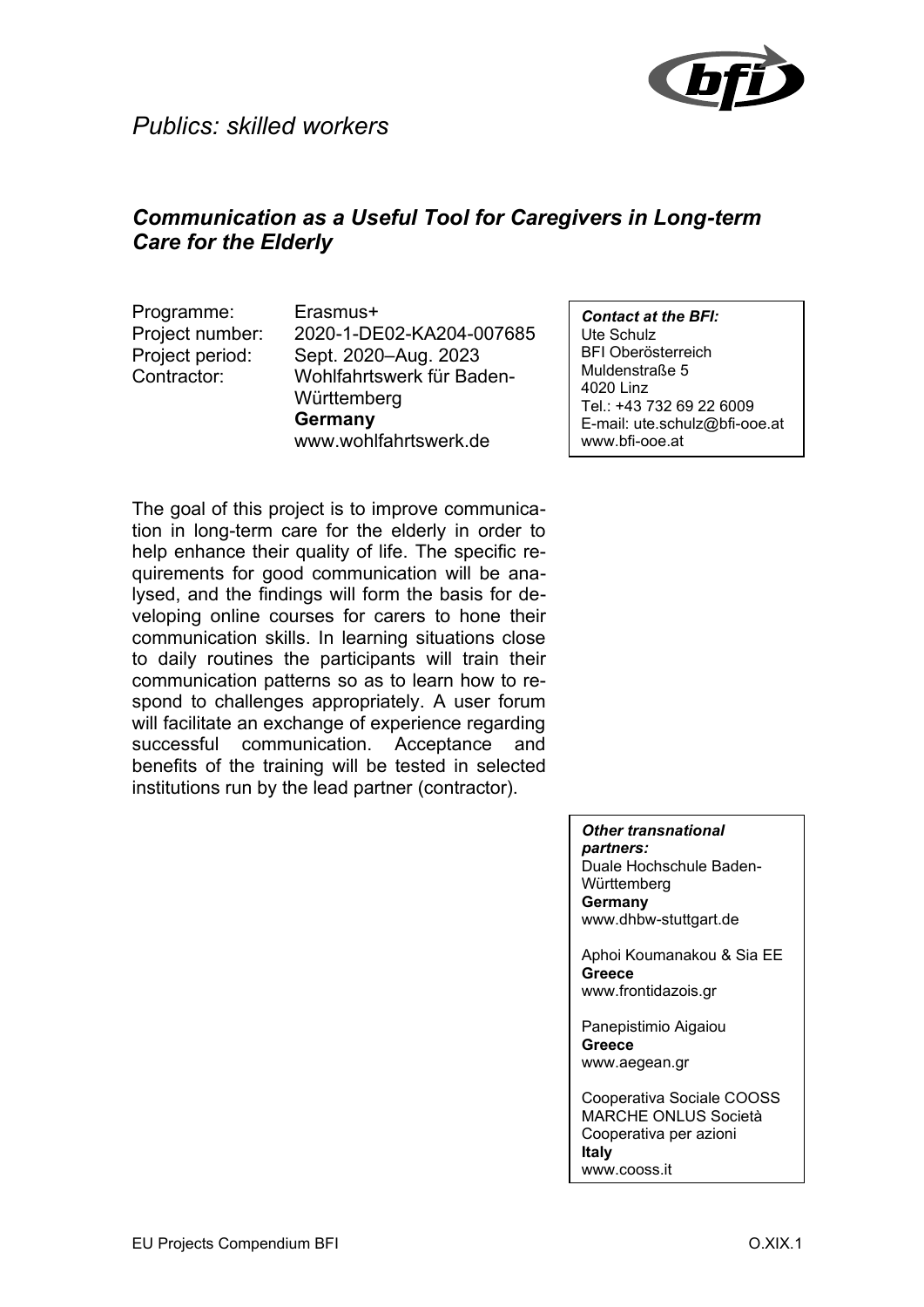

## *Communication as a Useful Tool for Caregivers in Long-term Care for the Elderly*

Programme: Erasmus+

Project number: 2020-1-DE02-KA204-007685 Project period: Sept. 2020–Aug. 2023 Contractor: Wohlfahrtswerk für Baden-**Württemberg Germany** www.wohlfahrtswerk.de

The goal of this project is to improve communication in long-term care for the elderly in order to help enhance their quality of life. The specific requirements for good communication will be analysed, and the findings will form the basis for developing online courses for carers to hone their communication skills. In learning situations close to daily routines the participants will train their communication patterns so as to learn how to respond to challenges appropriately. A user forum will facilitate an exchange of experience regarding successful communication. Acceptance and benefits of the training will be tested in selected institutions run by the lead partner (contractor).

*Contact at the BFI:* Ute Schulz BFI Oberösterreich Muldenstraße 5 4020 Linz Tel.: +43 732 69 22 6009 E-mail: ute.schulz@bfi-ooe.at www.bfi-ooe.at

*Other transnational partners:*

Duale Hochschule Baden-**Württemberg Germany** www.dhbw-stuttgart.de

Aphoi Koumanakou & Sia EE **Greece** www.frontidazois.gr

Panepistimio Aigaiou **Greece** www.aegean.gr

Cooperativa Sociale COOSS MARCHE ONLUS Società Cooperativa per azioni **Italy** www.cooss.it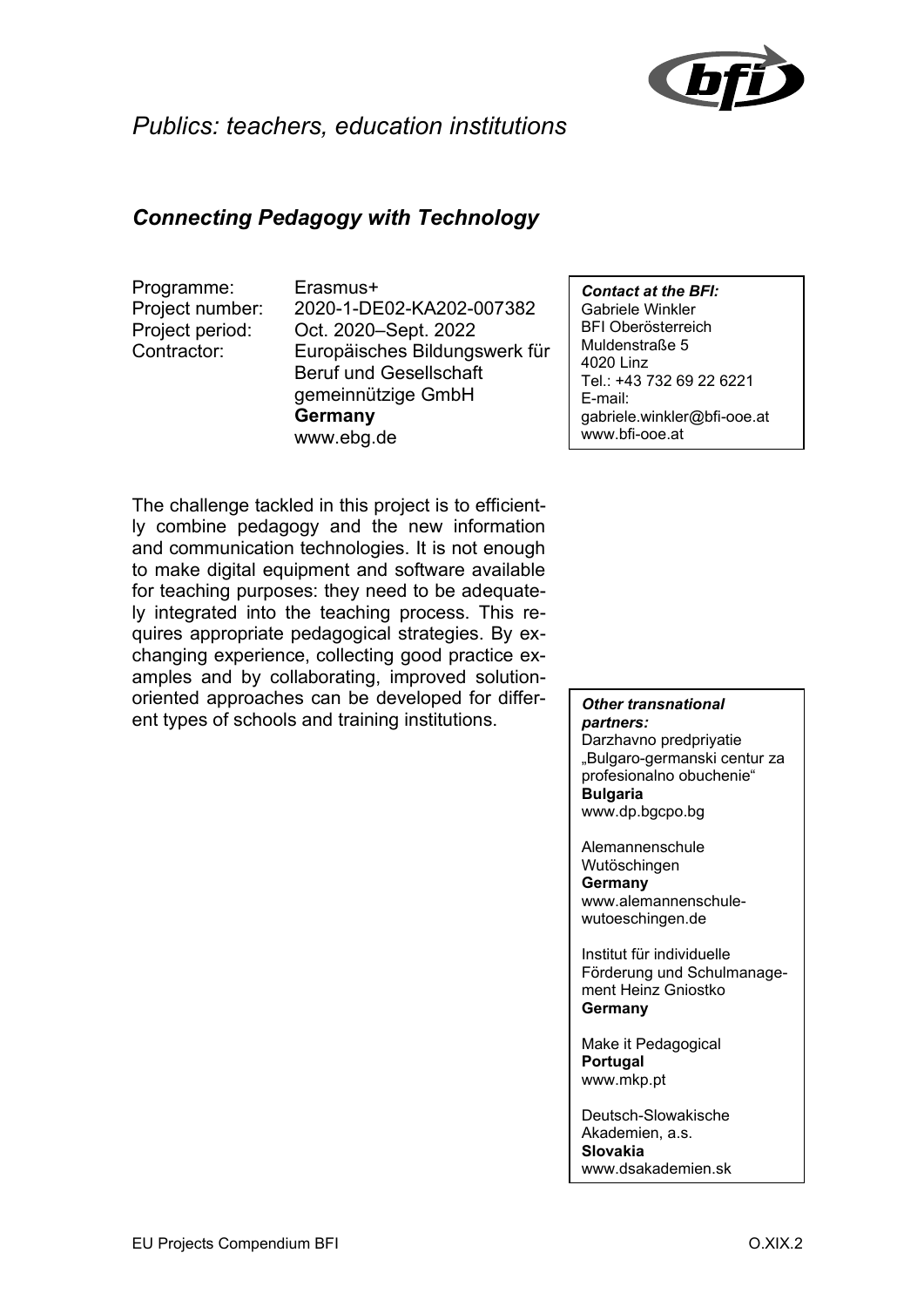

## *Publics: teachers, education institutions*

## *Connecting Pedagogy with Technology*

Programme: Erasmus+

Project number: 2020-1-DE02-KA202-007382 Project period: Oct. 2020–Sept. 2022 Contractor: Europäisches Bildungswerk für Beruf und Gesellschaft gemeinnützige GmbH **Germany** www.ebg.de

*Contact at the BFI:* Gabriele Winkler BFI Oberösterreich Muldenstraße 5 4020 Linz Tel.: +43 732 69 22 6221 E-mail: gabriele.winkler@bfi-ooe.at www.bfi-ooe.at

The challenge tackled in this project is to efficiently combine pedagogy and the new information and communication technologies. It is not enough to make digital equipment and software available for teaching purposes: they need to be adequately integrated into the teaching process. This requires appropriate pedagogical strategies. By exchanging experience, collecting good practice examples and by collaborating, improved solutionoriented approaches can be developed for different types of schools and training institutions.

*Other transnational partners:* Darzhavno predpriyatie

"Bulgaro-germanski centur za profesionalno obuchenie" **Bulgaria** www.dp.bgcpo.bg

Alemannenschule Wutöschingen **Germany** www.alemannenschulewutoeschingen.de

Institut für individuelle Förderung und Schulmanagement Heinz Gniostko **Germany**

Make it Pedagogical **Portugal** www.mkp.pt

Deutsch-Slowakische Akademien, a.s. **Slovakia** www.dsakademien.sk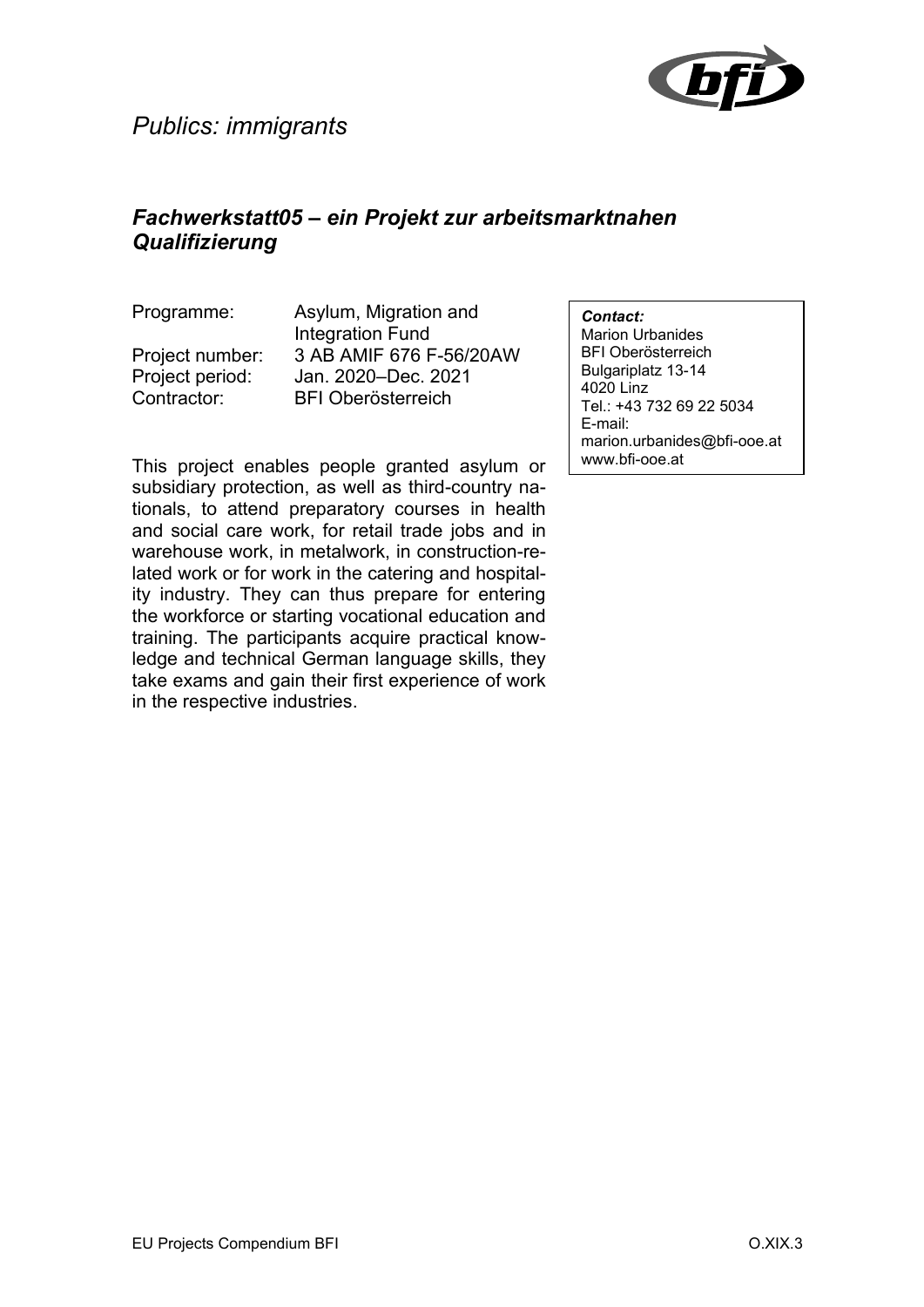

### *Fachwerkstatt05 – ein Projekt zur arbeitsmarktnahen Qualifizierung*

Programme: Asylum, Migration and Integration Fund Project number: 3 AB AMIF 676 F-56/20AW Project period: Jan. 2020–Dec. 2021 Contractor: BFI Oberösterreich

*Contact:*

Marion Urbanides BFI Oberösterreich Bulgariplatz 13-14 4020 Linz Tel.: +43 732 69 22 5034 E-mail: marion.urbanides@bfi-ooe.at www.bfi-ooe.at

This project enables people granted asylum or subsidiary protection, as well as third-country nationals, to attend preparatory courses in health and social care work, for retail trade jobs and in warehouse work, in metalwork, in construction-related work or for work in the catering and hospitality industry. They can thus prepare for entering the workforce or starting vocational education and training. The participants acquire practical knowledge and technical German language skills, they take exams and gain their first experience of work in the respective industries.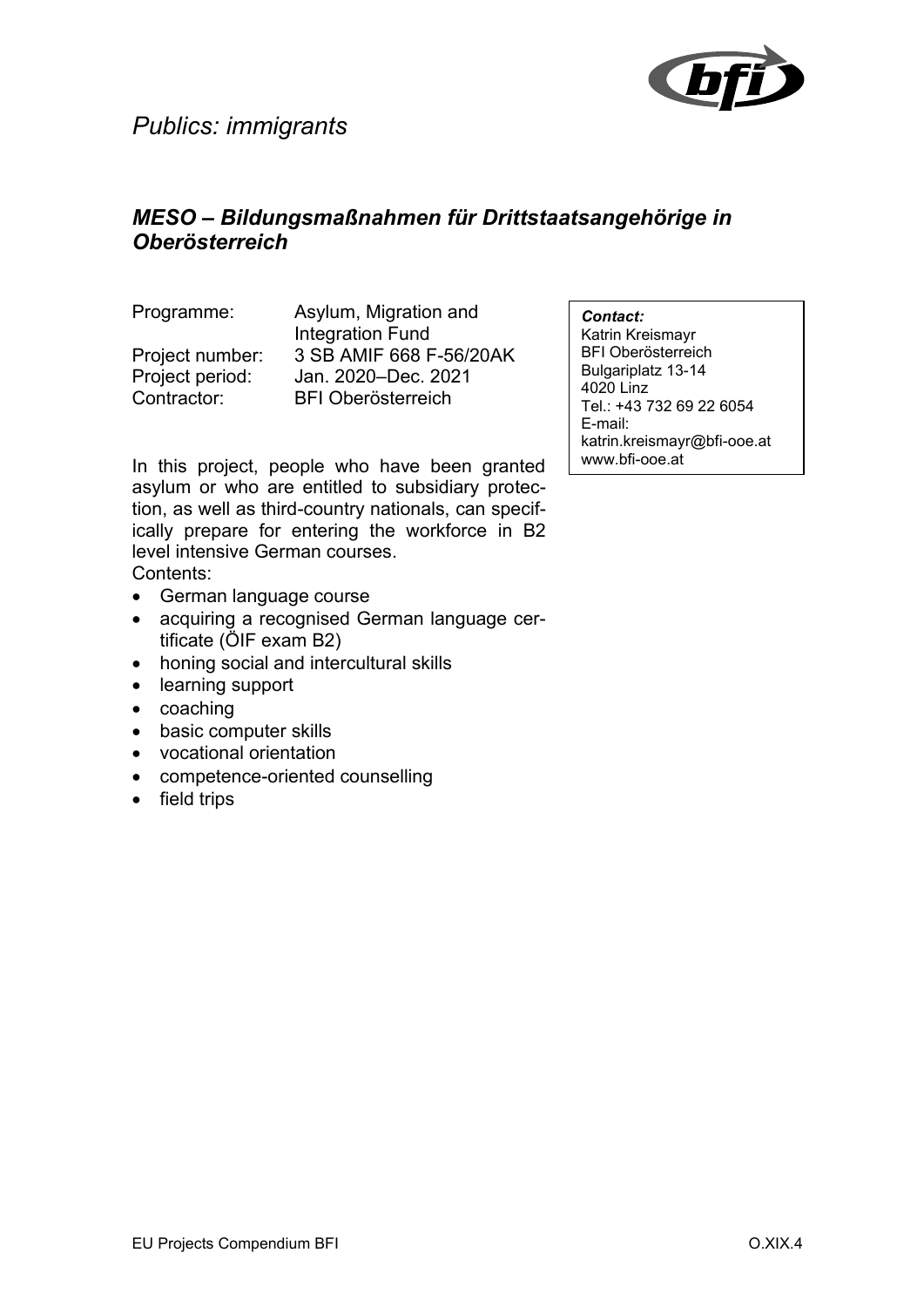

## *MESO – Bildungsmaßnahmen für Drittstaatsangehörige in Oberösterreich*

Programme: Asylum, Migration and Integration Fund Project number: 3 SB AMIF 668 F-56/20AK Project period: Jan. 2020–Dec. 2021 Contractor: BFI Oberösterreich

In this project, people who have been granted asylum or who are entitled to subsidiary protection, as well as third-country nationals, can specifically prepare for entering the workforce in B2 level intensive German courses. Contents:

- German language course
- acquiring a recognised German language certificate (ÖIF exam B2)
- honing social and intercultural skills
- learning support
- coaching
- basic computer skills
- vocational orientation
- competence-oriented counselling
- field trips

*Contact:*

Katrin Kreismayr BFI Oberösterreich Bulgariplatz 13-14 4020 Linz Tel.: +43 732 69 22 6054 E-mail: katrin.kreismayr@bfi-ooe.at www.bfi-ooe.at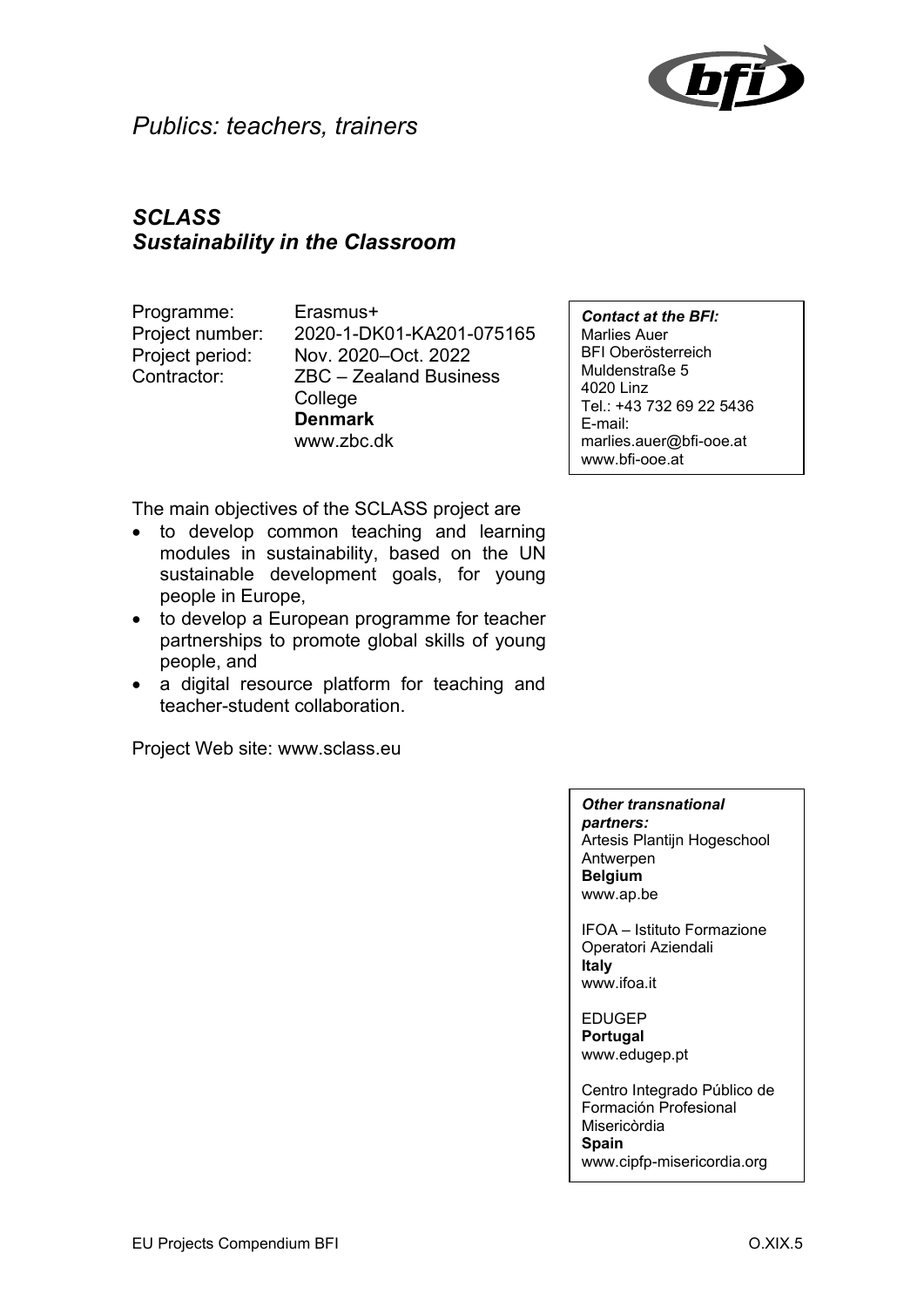

### *Publics: teachers, trainers*

## *SCLASS Sustainability in the Classroom*

Programme: Erasmus+

Project number: 2020-1-DK01-KA201-075165 Project period: Nov. 2020–Oct. 2022 Contractor: ZBC – Zealand Business **College Denmark** www.zbc.dk

The main objectives of the SCLASS project are

- to develop common teaching and learning modules in sustainability, based on the UN sustainable development goals, for young people in Europe,
- to develop a European programme for teacher partnerships to promote global skills of young people, and
- a digital resource platform for teaching and teacher-student collaboration.

Project Web site: www.sclass.eu

*Contact at the BFI:* Marlies Auer BFI Oberösterreich Muldenstraße 5 4020 Linz Tel.: +43 732 69 22 5436 E-mail: marlies.auer@bfi-ooe.at www.bfi-ooe.at

#### *Other transnational partners:*

Artesis Plantijn Hogeschool Antwerpen **Belgium** www.ap.be

IFOA – Istituto Formazione Operatori Aziendali **Italy** www.ifoa.it

EDUGEP **Portugal** www.edugep.pt

Centro Integrado Público de Formación Profesional Misericòrdia **Spain** www.cipfp-misericordia.org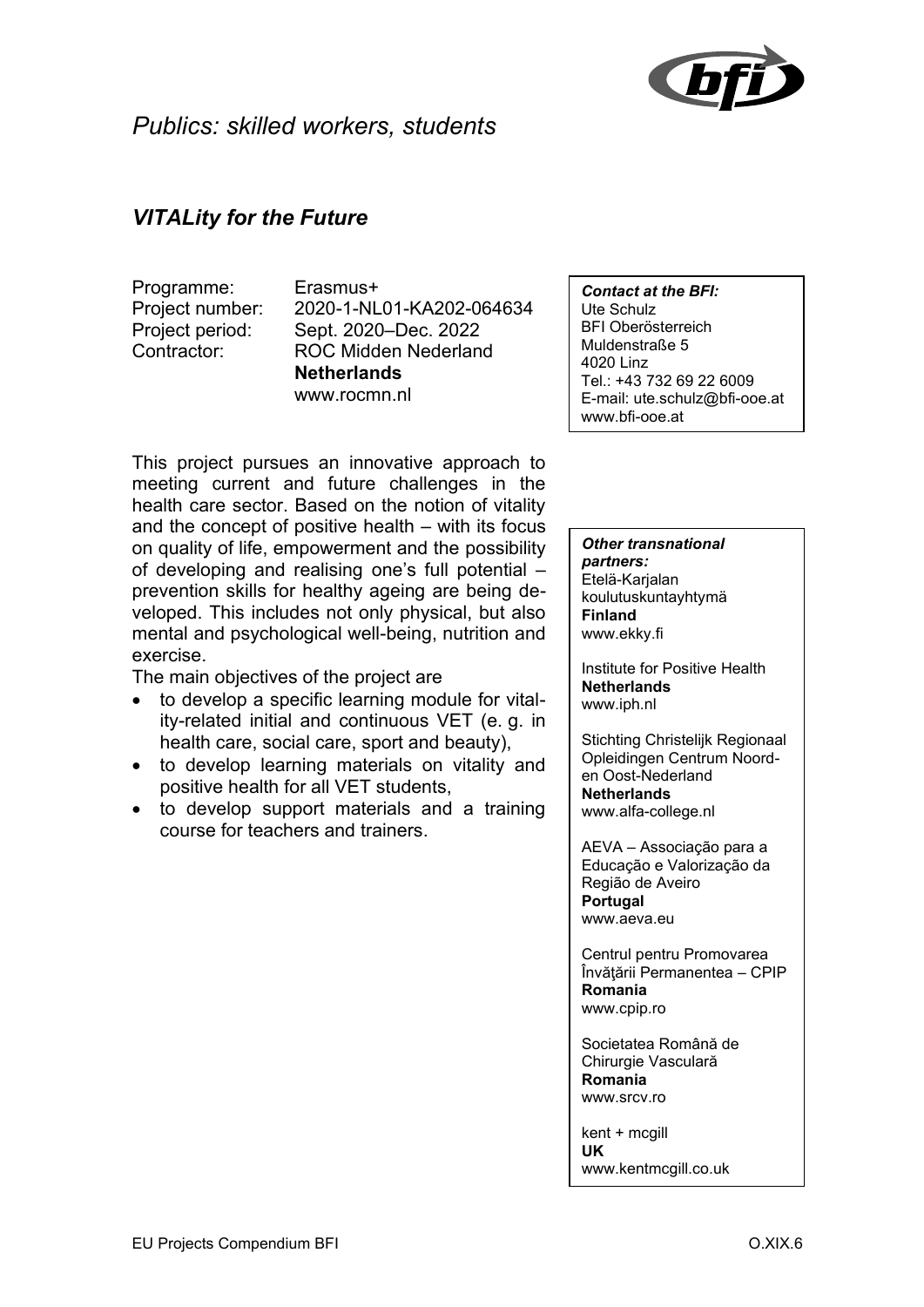

#### *VITALity for the Future*

Programme: Erasmus+

Project number: 2020-1-NL01-KA202-064634 Project period: Sept. 2020–Dec. 2022 Contractor: ROC Midden Nederland **Netherlands** www.rocmn.nl

*Contact at the BFI:* Ute Schulz BFI Oberösterreich Muldenstraße 5 4020 Linz Tel.: +43 732 69 22 6009 E-mail: ute.schulz@bfi-ooe.at www.bfi-ooe.at

This project pursues an innovative approach to meeting current and future challenges in the health care sector. Based on the notion of vitality and the concept of positive health – with its focus on quality of life, empowerment and the possibility of developing and realising one's full potential – prevention skills for healthy ageing are being developed. This includes not only physical, but also mental and psychological well-being, nutrition and exercise.

The main objectives of the project are

- to develop a specific learning module for vitality-related initial and continuous VET (e. g. in health care, social care, sport and beauty),
- to develop learning materials on vitality and positive health for all VET students,
- to develop support materials and a training course for teachers and trainers.

*Other transnational partners:* Etelä-Karjalan koulutuskuntayhtymä **Finland** www.ekky.fi

Institute for Positive Health **Netherlands** www.iph.nl

Stichting Christelijk Regionaal Opleidingen Centrum Noorden Oost-Nederland **Netherlands** www.alfa-college.nl

AEVA – Associação para a Educação e Valorização da Região de Aveiro **Portugal** www.aeva.eu

Centrul pentru Promovarea Învățării Permanentea - CPIP **Romania** www.cpip.ro

Societatea Română de Chirurgie Vasculară **Romania** www.srcv.ro

kent + mcgill **UK** www.kentmcgill.co.uk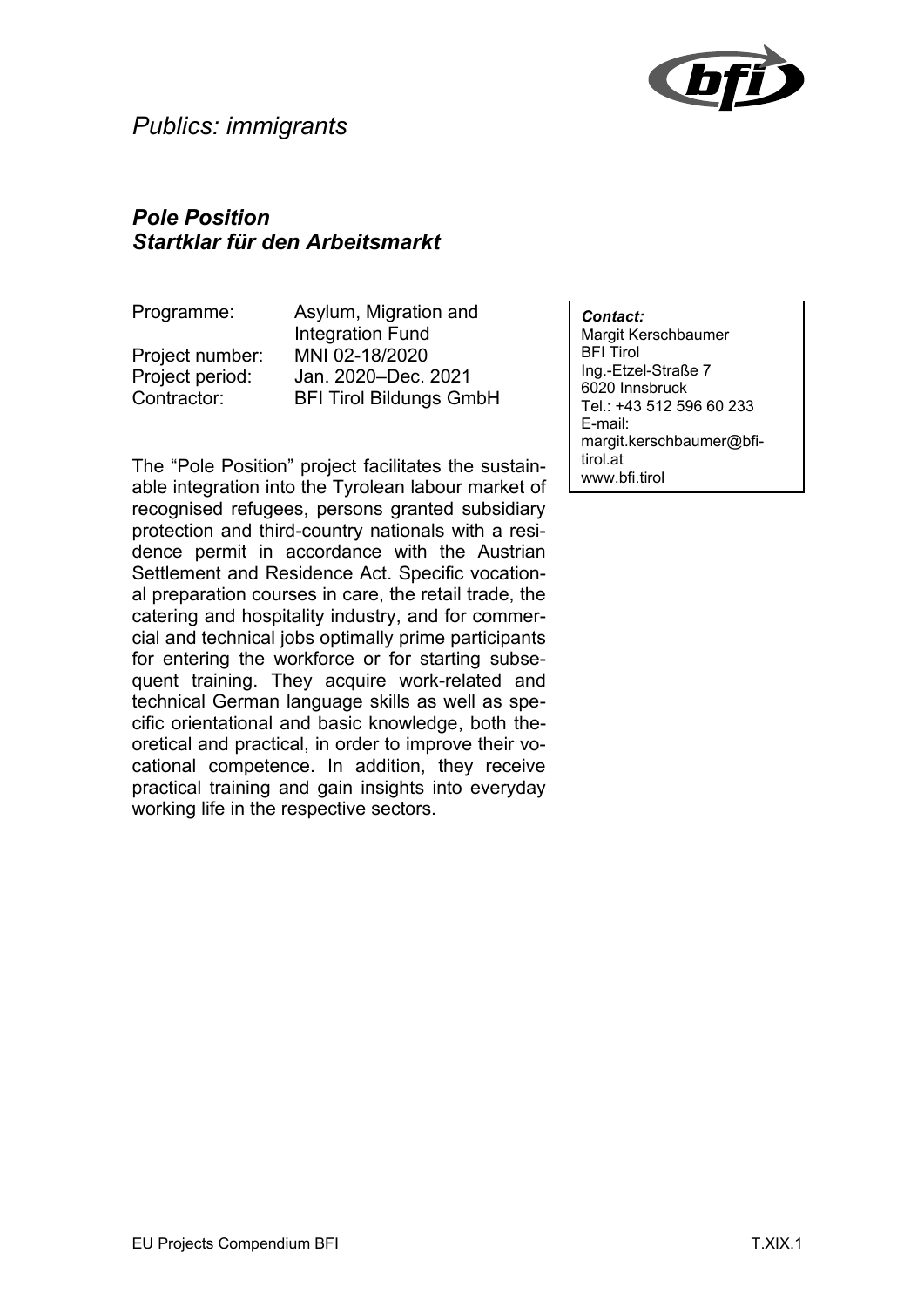

#### *Pole Position Startklar für den Arbeitsmarkt*

Programme: Asylum, Migration and Integration Fund Project number: MNI 02-18/2020 Project period: Jan. 2020–Dec. 2021 Contractor: BFI Tirol Bildungs GmbH

The "Pole Position" project facilitates the sustainable integration into the Tyrolean labour market of recognised refugees, persons granted subsidiary protection and third-country nationals with a residence permit in accordance with the Austrian Settlement and Residence Act. Specific vocational preparation courses in care, the retail trade, the catering and hospitality industry, and for commercial and technical jobs optimally prime participants for entering the workforce or for starting subsequent training. They acquire work-related and technical German language skills as well as specific orientational and basic knowledge, both theoretical and practical, in order to improve their vocational competence. In addition, they receive practical training and gain insights into everyday working life in the respective sectors.

*Contact:* Margit Kerschbaumer BFI Tirol Ing.-Etzel-Straße 7 6020 Innsbruck Tel.: +43 512 596 60 233 E-mail: margit.kerschbaumer@bfitirol.at www.bfi.tirol